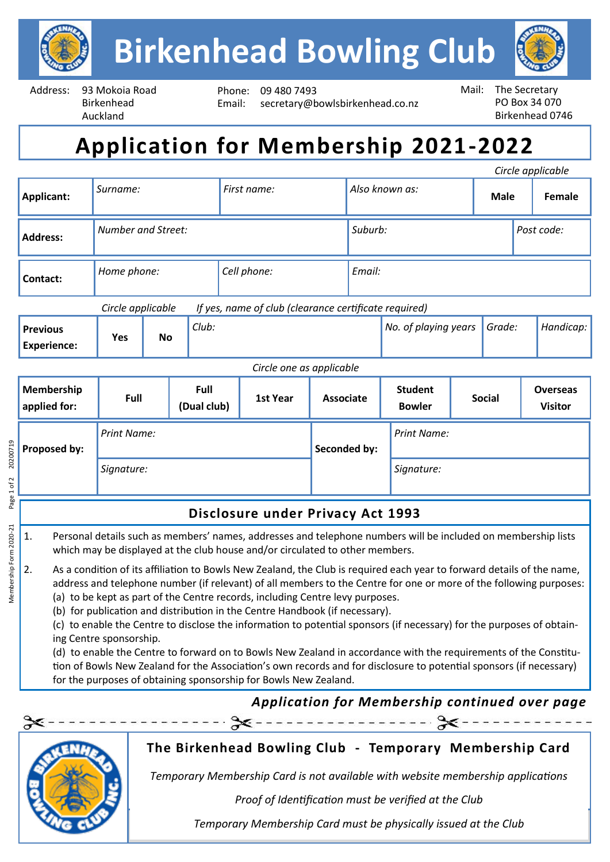

Address: 93 Mokoia Road Birkenhead Auckland

Phone: 09 480 7493 Email: secretary@bowlsbirkenhead.co.nz



# **Application for Membership 2021-2022**

| Circle applicable                     |                                                                            |           |       |             |                  |                |                                 |                    |             |        |                                   |           |
|---------------------------------------|----------------------------------------------------------------------------|-----------|-------|-------------|------------------|----------------|---------------------------------|--------------------|-------------|--------|-----------------------------------|-----------|
| Applicant:                            | Surname:                                                                   |           |       | First name: |                  | Also known as: |                                 |                    | <b>Male</b> |        | Female                            |           |
| <b>Address:</b>                       | Number and Street:                                                         |           |       |             |                  | Suburb:        |                                 |                    | Post code:  |        |                                   |           |
| Contact:                              | Home phone:                                                                |           |       | Cell phone: |                  | Email:         |                                 |                    |             |        |                                   |           |
|                                       | Circle applicable<br>If yes, name of club (clearance certificate required) |           |       |             |                  |                |                                 |                    |             |        |                                   |           |
| <b>Previous</b><br><b>Experience:</b> | Yes                                                                        | <b>No</b> | Club: |             |                  |                | No. of playing years            |                    |             | Grade: |                                   | Handicap: |
| Circle one as applicable              |                                                                            |           |       |             |                  |                |                                 |                    |             |        |                                   |           |
| <b>Membership</b><br>applied for:     | Full<br>Full<br>(Dual club)                                                |           |       | 1st Year    | <b>Associate</b> |                | <b>Student</b><br><b>Bowler</b> | <b>Social</b>      |             |        | <b>Overseas</b><br><b>Visitor</b> |           |
| Proposed by:                          | <b>Print Name:</b>                                                         |           |       |             |                  | Seconded by:   |                                 | <b>Print Name:</b> |             |        |                                   |           |
|                                       | Signature:                                                                 |           |       |             |                  |                |                                 | Signature:         |             |        |                                   |           |
| Disclosure under Privacy Act 1993     |                                                                            |           |       |             |                  |                |                                 |                    |             |        |                                   |           |

- 1. Personal details such as members' names, addresses and telephone numbers will be included on membership lists which may be displayed at the club house and/or circulated to other members.
- 2. As a condition of its affiliation to Bowls New Zealand, the Club is required each year to forward details of the name, address and telephone number (if relevant) of all members to the Centre for one or more of the following purposes:
	- (a) to be kept as part of the Centre records, including Centre levy purposes.
	- (b) for publication and distribution in the Centre Handbook (if necessary).
	- (c) to enable the Centre to disclose the information to potential sponsors (if necessary) for the purposes of obtaining Centre sponsorship.
	- (d) to enable the Centre to forward on to Bowls New Zealand in accordance with the requirements of the Constitution of Bowls New Zealand for the Association's own records and for disclosure to potential sponsors (if necessary) for the purposes of obtaining sponsorship for Bowls New Zealand.

### *Application for Membership continued over page*



Membership Form 2020-21 Page 1 of 2 20200719

Membership Form 2020-21

20200719

Page 1 of 2

#### **The Birkenhead Bowling Club - Temporary Membership Card**

Temporary Membership Card is not available with website membership applications

 $Proof of$  dentification must be verified at the Club Proof of Identification must be verified at the Club

*Signature of Board Member: Date: Temporary Membership Card must be physically issued at the Club*